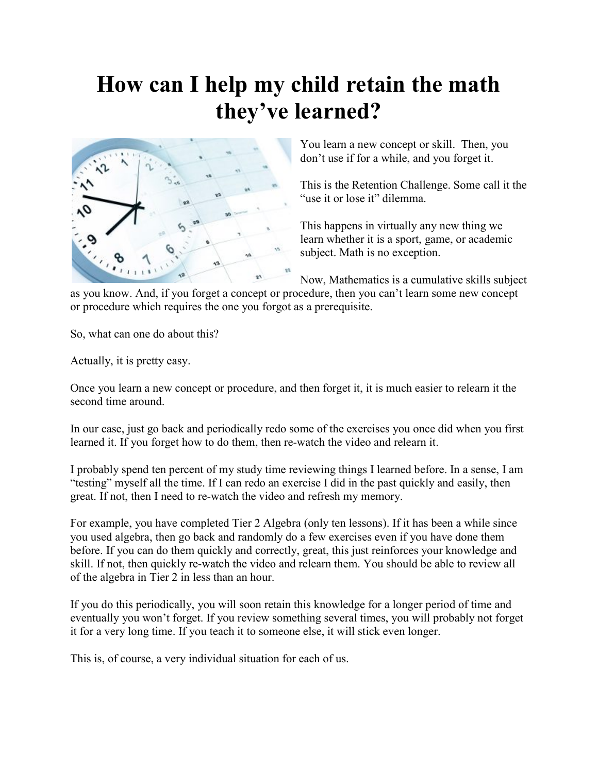## How can I help my child retain the math they've learned?



You learn a new concept or skill. Then, you don't use if for a while, and you forget it.

This is the Retention Challenge. Some call it the "use it or lose it" dilemma.

This happens in virtually any new thing we learn whether it is a sport, game, or academic subject. Math is no exception.

Now, Mathematics is a cumulative skills subject

as you know. And, if you forget a concept or procedure, then you can't learn some new concept or procedure which requires the one you forgot as a prerequisite.

So, what can one do about this?

Actually, it is pretty easy.

Once you learn a new concept or procedure, and then forget it, it is much easier to relearn it the second time around.

In our case, just go back and periodically redo some of the exercises you once did when you first learned it. If you forget how to do them, then re-watch the video and relearn it.

I probably spend ten percent of my study time reviewing things I learned before. In a sense, I am "testing" myself all the time. If I can redo an exercise I did in the past quickly and easily, then great. If not, then I need to re-watch the video and refresh my memory.

For example, you have completed Tier 2 Algebra (only ten lessons). If it has been a while since you used algebra, then go back and randomly do a few exercises even if you have done them before. If you can do them quickly and correctly, great, this just reinforces your knowledge and skill. If not, then quickly re-watch the video and relearn them. You should be able to review all of the algebra in Tier 2 in less than an hour.

If you do this periodically, you will soon retain this knowledge for a longer period of time and eventually you won't forget. If you review something several times, you will probably not forget it for a very long time. If you teach it to someone else, it will stick even longer.

This is, of course, a very individual situation for each of us.